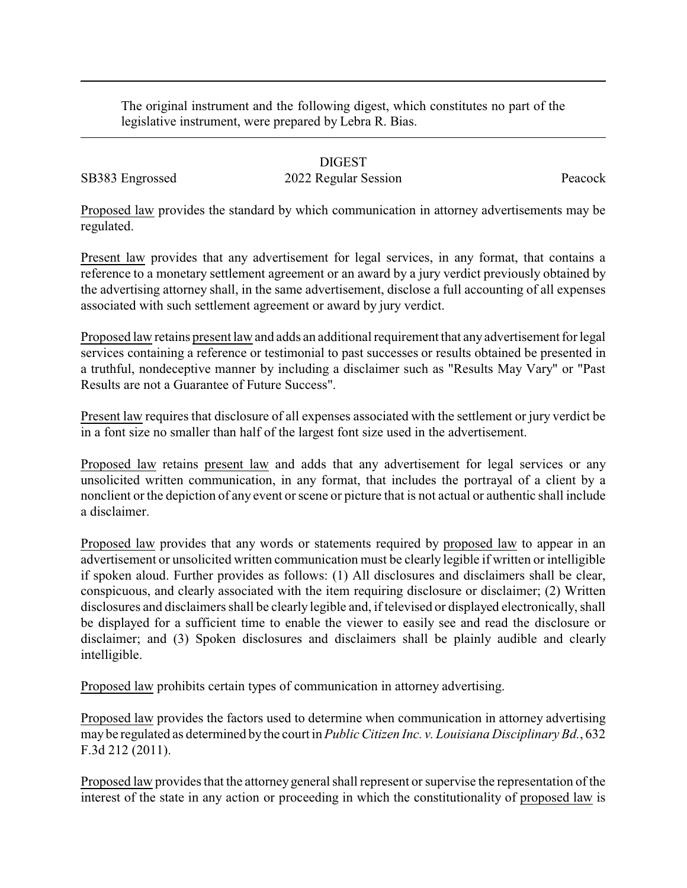The original instrument and the following digest, which constitutes no part of the legislative instrument, were prepared by Lebra R. Bias.

## DIGEST

SB383 Engrossed 2022 Regular Session Peacock

Proposed law provides the standard by which communication in attorney advertisements may be regulated.

Present law provides that any advertisement for legal services, in any format, that contains a reference to a monetary settlement agreement or an award by a jury verdict previously obtained by the advertising attorney shall, in the same advertisement, disclose a full accounting of all expenses associated with such settlement agreement or award by jury verdict.

Proposed law retains present law and adds an additional requirement that any advertisement for legal services containing a reference or testimonial to past successes or results obtained be presented in a truthful, nondeceptive manner by including a disclaimer such as "Results May Vary" or "Past Results are not a Guarantee of Future Success".

Present law requires that disclosure of all expenses associated with the settlement or jury verdict be in a font size no smaller than half of the largest font size used in the advertisement.

Proposed law retains present law and adds that any advertisement for legal services or any unsolicited written communication, in any format, that includes the portrayal of a client by a nonclient or the depiction of any event or scene or picture that is not actual or authentic shall include a disclaimer.

Proposed law provides that any words or statements required by proposed law to appear in an advertisement or unsolicited written communication must be clearly legible if written or intelligible if spoken aloud. Further provides as follows: (1) All disclosures and disclaimers shall be clear, conspicuous, and clearly associated with the item requiring disclosure or disclaimer; (2) Written disclosures and disclaimers shall be clearly legible and, if televised or displayed electronically, shall be displayed for a sufficient time to enable the viewer to easily see and read the disclosure or disclaimer; and (3) Spoken disclosures and disclaimers shall be plainly audible and clearly intelligible.

Proposed law prohibits certain types of communication in attorney advertising.

Proposed law provides the factors used to determine when communication in attorney advertising may be regulated as determined by the court in *Public Citizen Inc. v. Louisiana Disciplinary Bd.*, 632 F.3d 212 (2011).

Proposed law provides that the attorney general shall represent or supervise the representation of the interest of the state in any action or proceeding in which the constitutionality of proposed law is